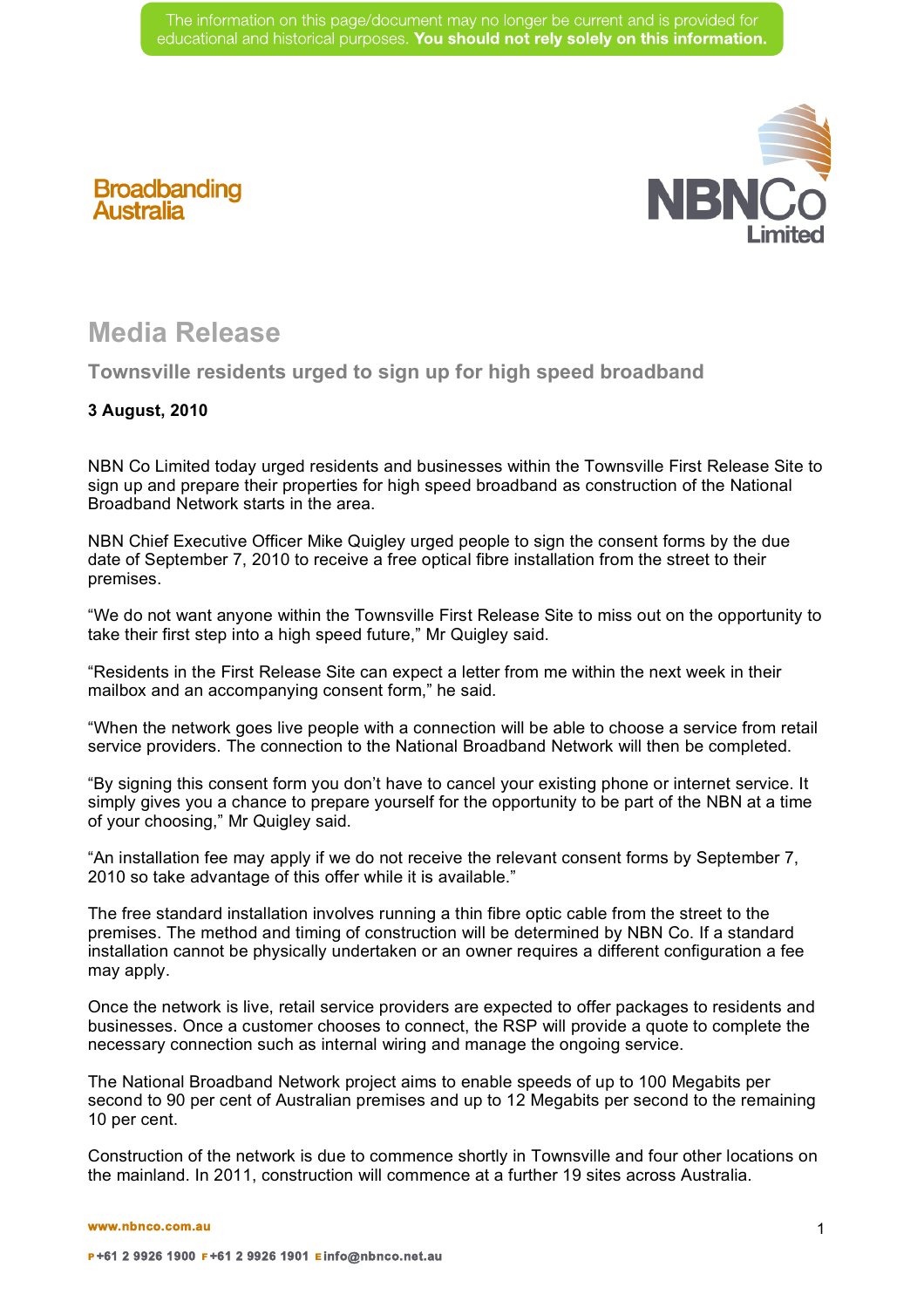

## **Media Release**

**Broadbanding**<br>Australia

**Townsville residents urged to sign up for high speed broadband**

## **3 August, 2010**

NBN Co Limited today urged residents and businesses within the Townsville First Release Site to sign up and prepare their properties for high speed broadband as construction of the National Broadband Network starts in the area.

NBN Chief Executive Officer Mike Quigley urged people to sign the consent forms by the due date of September 7, 2010 to receive a free optical fibre installation from the street to their premises.

"We do not want anyone within the Townsville First Release Site to miss out on the opportunity to take their first step into a high speed future," Mr Quigley said.

"Residents in the First Release Site can expect a letter from me within the next week in their mailbox and an accompanying consent form," he said.

"When the network goes live people with a connection will be able to choose a service from retail service providers. The connection to the National Broadband Network will then be completed.

"By signing this consent form you don't have to cancel your existing phone or internet service. It simply gives you a chance to prepare yourself for the opportunity to be part of the NBN at a time of your choosing," Mr Quigley said.

"An installation fee may apply if we do not receive the relevant consent forms by September 7, 2010 so take advantage of this offer while it is available."

The free standard installation involves running a thin fibre optic cable from the street to the premises. The method and timing of construction will be determined by NBN Co. If a standard installation cannot be physically undertaken or an owner requires a different configuration a fee may apply.

Once the network is live, retail service providers are expected to offer packages to residents and businesses. Once a customer chooses to connect, the RSP will provide a quote to complete the necessary connection such as internal wiring and manage the ongoing service.

The National Broadband Network project aims to enable speeds of up to 100 Megabits per second to 90 per cent of Australian premises and up to 12 Megabits per second to the remaining 10 per cent.

Construction of the network is due to commence shortly in Townsville and four other locations on the mainland. In 2011, construction will commence at a further 19 sites across Australia.

**www.nbnco.com.au**